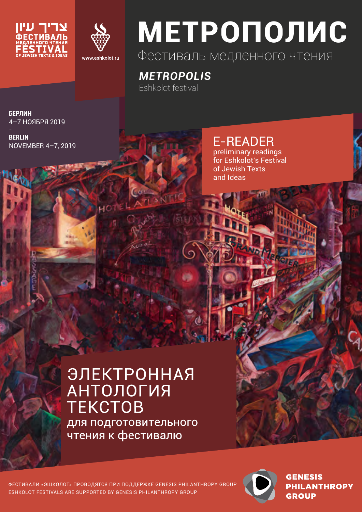



# МЕТРОПОЛИС Фестиваль медленного чтения

*METROPOLIS* Eshkolot festival

**БЕРЛИН**  4–7 НОЯБРЯ 2019

**BERLIN** NOVEMBER 4–7, 2019

E-READER preliminary readings for Eshkolot's Festival of Jewish Texts and Ideas

## **ЭЛЕКТРОННАЯ АНТОЛОГИЯ TEKCTOB** для подготовительного . .<br>чтения к фестивалю

ФЕСТИВАЛИ «ЭШКОЛОТ» ПРОВОДЯТСЯ ПРИ ПОДДЕРЖКЕ GENESIS PHILANTHROPY GROUP ESHKOLOT FESTIVALS ARE SUPPORTED BY GENESIS PHILANTHROPY GROUP



**GENESIS PHILANTHROPY GROUP**